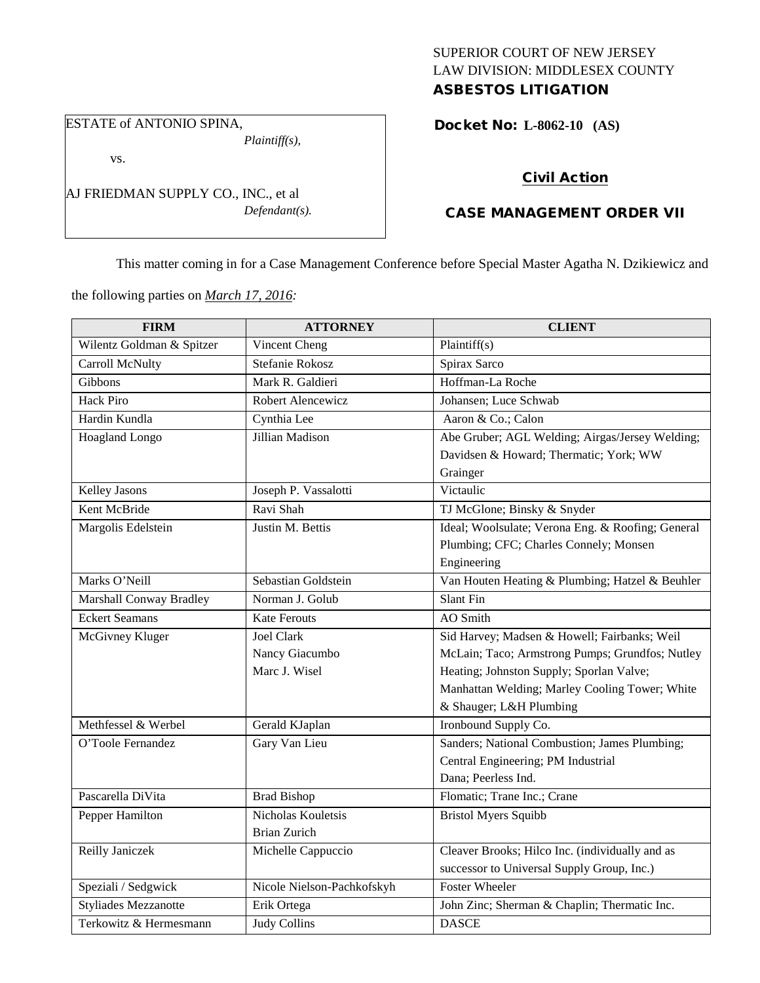## SUPERIOR COURT OF NEW JERSEY LAW DIVISION: MIDDLESEX COUNTY ASBESTOS LITIGATION

ESTATE of ANTONIO SPINA,

*Plaintiff(s),*

vs.

AJ FRIEDMAN SUPPLY CO., INC., et al *Defendant(s).*

## Docket No: **L-8062-10 (AS)**

# Civil Action

# CASE MANAGEMENT ORDER VII

This matter coming in for a Case Management Conference before Special Master Agatha N. Dzikiewicz and

the following parties on *March 17, 2016:*

| <b>FIRM</b>                 | <b>ATTORNEY</b>            | <b>CLIENT</b>                                     |
|-----------------------------|----------------------------|---------------------------------------------------|
| Wilentz Goldman & Spitzer   | Vincent Cheng              | Plaintiff(s)                                      |
| Carroll McNulty             | Stefanie Rokosz            | Spirax Sarco                                      |
| Gibbons                     | Mark R. Galdieri           | Hoffman-La Roche                                  |
| <b>Hack Piro</b>            | Robert Alencewicz          | Johansen; Luce Schwab                             |
| Hardin Kundla               | Cynthia Lee                | Aaron & Co.; Calon                                |
| Hoagland Longo              | Jillian Madison            | Abe Gruber; AGL Welding; Airgas/Jersey Welding;   |
|                             |                            | Davidsen & Howard; Thermatic; York; WW            |
|                             |                            | Grainger                                          |
| Kelley Jasons               | Joseph P. Vassalotti       | Victaulic                                         |
| Kent McBride                | Ravi Shah                  | TJ McGlone; Binsky & Snyder                       |
| Margolis Edelstein          | Justin M. Bettis           | Ideal; Woolsulate; Verona Eng. & Roofing; General |
|                             |                            | Plumbing; CFC; Charles Connely; Monsen            |
|                             |                            | Engineering                                       |
| Marks O'Neill               | Sebastian Goldstein        | Van Houten Heating & Plumbing; Hatzel & Beuhler   |
| Marshall Conway Bradley     | Norman J. Golub            | Slant Fin                                         |
| <b>Eckert Seamans</b>       | <b>Kate Ferouts</b>        | AO Smith                                          |
| McGivney Kluger             | <b>Joel Clark</b>          | Sid Harvey; Madsen & Howell; Fairbanks; Weil      |
|                             | Nancy Giacumbo             | McLain; Taco; Armstrong Pumps; Grundfos; Nutley   |
|                             | Marc J. Wisel              | Heating; Johnston Supply; Sporlan Valve;          |
|                             |                            | Manhattan Welding; Marley Cooling Tower; White    |
|                             |                            | & Shauger; L&H Plumbing                           |
| Methfessel & Werbel         | Gerald KJaplan             | Ironbound Supply Co.                              |
| O'Toole Fernandez           | Gary Van Lieu              | Sanders; National Combustion; James Plumbing;     |
|                             |                            | Central Engineering; PM Industrial                |
|                             |                            | Dana; Peerless Ind.                               |
| Pascarella DiVita           | <b>Brad Bishop</b>         | Flomatic; Trane Inc.; Crane                       |
| Pepper Hamilton             | Nicholas Kouletsis         | <b>Bristol Myers Squibb</b>                       |
|                             | <b>Brian Zurich</b>        |                                                   |
| Reilly Janiczek             | Michelle Cappuccio         | Cleaver Brooks; Hilco Inc. (individually and as   |
|                             |                            | successor to Universal Supply Group, Inc.)        |
| Speziali / Sedgwick         | Nicole Nielson-Pachkofskyh | <b>Foster Wheeler</b>                             |
| <b>Styliades Mezzanotte</b> | Erik Ortega                | John Zinc; Sherman & Chaplin; Thermatic Inc.      |
| Terkowitz & Hermesmann      | <b>Judy Collins</b>        | <b>DASCE</b>                                      |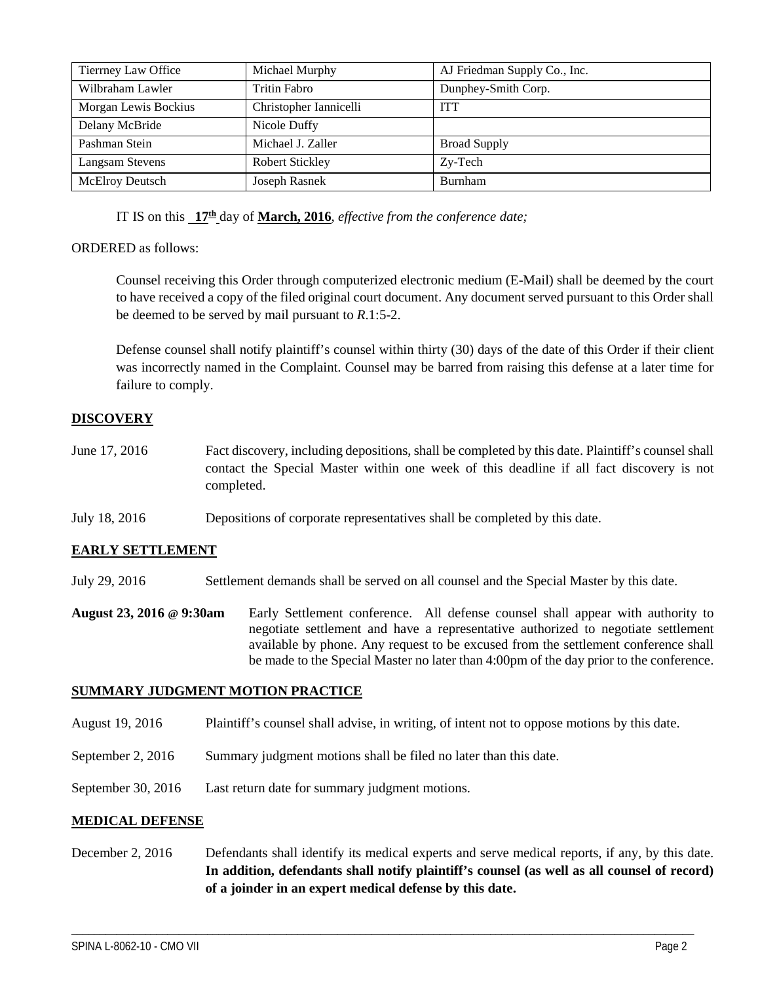| Tierrney Law Office    | Michael Murphy         | AJ Friedman Supply Co., Inc. |
|------------------------|------------------------|------------------------------|
| Wilbraham Lawler       | Tritin Fabro           | Dunphey-Smith Corp.          |
| Morgan Lewis Bockius   | Christopher Iannicelli | <b>ITT</b>                   |
| Delany McBride         | Nicole Duffy           |                              |
| Pashman Stein          | Michael J. Zaller      | <b>Broad Supply</b>          |
| <b>Langsam Stevens</b> | <b>Robert Stickley</b> | Zy-Tech                      |
| <b>McElroy Deutsch</b> | Joseph Rasnek          | Burnham                      |

IT IS on this **17th** day of **March, 2016**, *effective from the conference date;*

### ORDERED as follows:

Counsel receiving this Order through computerized electronic medium (E-Mail) shall be deemed by the court to have received a copy of the filed original court document. Any document served pursuant to this Order shall be deemed to be served by mail pursuant to *R*.1:5-2.

Defense counsel shall notify plaintiff's counsel within thirty (30) days of the date of this Order if their client was incorrectly named in the Complaint. Counsel may be barred from raising this defense at a later time for failure to comply.

### **DISCOVERY**

- June 17, 2016 Fact discovery, including depositions, shall be completed by this date. Plaintiff's counsel shall contact the Special Master within one week of this deadline if all fact discovery is not completed.
- July 18, 2016 Depositions of corporate representatives shall be completed by this date.

#### **EARLY SETTLEMENT**

July 29, 2016 Settlement demands shall be served on all counsel and the Special Master by this date.

**August 23, 2016 @ 9:30am** Early Settlement conference. All defense counsel shall appear with authority to negotiate settlement and have a representative authorized to negotiate settlement available by phone. Any request to be excused from the settlement conference shall be made to the Special Master no later than 4:00pm of the day prior to the conference.

#### **SUMMARY JUDGMENT MOTION PRACTICE**

- August 19, 2016 Plaintiff's counsel shall advise, in writing, of intent not to oppose motions by this date.
- September 2, 2016 Summary judgment motions shall be filed no later than this date.
- September 30, 2016 Last return date for summary judgment motions.

#### **MEDICAL DEFENSE**

December 2, 2016 Defendants shall identify its medical experts and serve medical reports, if any, by this date. **In addition, defendants shall notify plaintiff's counsel (as well as all counsel of record) of a joinder in an expert medical defense by this date.**

\_\_\_\_\_\_\_\_\_\_\_\_\_\_\_\_\_\_\_\_\_\_\_\_\_\_\_\_\_\_\_\_\_\_\_\_\_\_\_\_\_\_\_\_\_\_\_\_\_\_\_\_\_\_\_\_\_\_\_\_\_\_\_\_\_\_\_\_\_\_\_\_\_\_\_\_\_\_\_\_\_\_\_\_\_\_\_\_\_\_\_\_\_\_\_\_\_\_\_\_\_\_\_\_\_\_\_\_\_\_